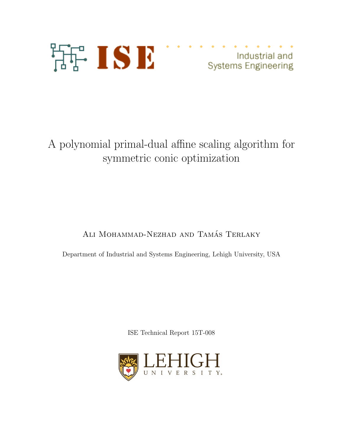

Industrial and<br>Systems Engineering

# A polynomial primal-dual affine scaling algorithm for symmetric conic optimization

ALI MOHAMMAD-NEZHAD AND TAMÁS TERLAKY

Department of Industrial and Systems Engineering, Lehigh University, USA

ISE Technical Report 15T-008

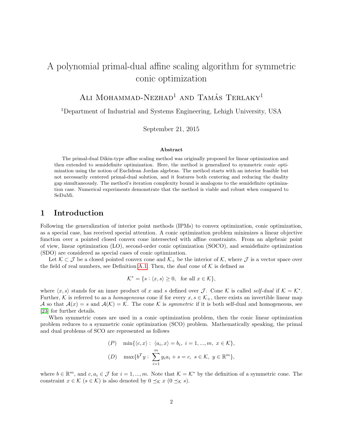## A polynomial primal-dual affine scaling algorithm for symmetric conic optimization

ALI MOHAMMAD-NEZHAD<sup>1</sup> AND TAMÁS TERLAKY<sup>1</sup>

<sup>1</sup>Department of Industrial and Systems Engineering, Lehigh University, USA

September 21, 2015

#### Abstract

The primal-dual Dikin-type affine scaling method was originally proposed for linear optimization and then extended to semidefinite optimization. Here, the method is generalized to symmetric conic optimization using the notion of Euclidean Jordan algebras. The method starts with an interior feasible but not necessarily centered primal-dual solution, and it features both centering and reducing the duality gap simultaneously. The method's iteration complexity bound is analogous to the semidefinite optimization case. Numerical experiments demonstrate that the method is viable and robust when compared to SeDuMi.

## 1 Introduction

Following the generalization of interior point methods (IPMs) to convex optimization, conic optimization, as a special case, has received special attention. A conic optimization problem minimizes a linear objective function over a pointed closed convex cone intersected with affine constraints. From an algebraic point of view, linear optimization (LO), second-order conic optimization (SOCO), and semidefinite optimization (SDO) are considered as special cases of conic optimization.

Let  $\mathcal{K} \subset \mathcal{J}$  be a closed pointed convex cone and  $\mathcal{K}_+$  be the interior of  $\mathcal{K}$ , where  $\mathcal{J}$  is a vector space over the field of real numbers, see Definition [A.1.](#page-13-0) Then, the *dual* cone of  $K$  is defined as

$$
\mathcal{K}^* = \{ s : \langle x, s \rangle \ge 0, \text{ for all } x \in \mathcal{K} \},
$$

where  $\langle x, s \rangle$  stands for an inner product of x and s defined over J. Cone K is called self-dual if  $K = K^*$ . Further, K is referred to as a *homogeneous* cone if for every  $x, s \in \mathcal{K}_+$ , there exists an invertible linear map A so that  $A(x) = s$  and  $A(\mathcal{K}) = \mathcal{K}$ . The cone K is symmetric if it is both self-dual and homogeneous, see [\[23\]](#page-13-1) for further details.

When symmetric cones are used in a conic optimization problem, then the conic linear optimization problem reduces to a symmetric conic optimization (SCO) problem. Mathematically speaking, the primal and dual problems of SCO are represented as follows

$$
\begin{aligned} (P) \quad & \min\{\langle c, x \rangle : \langle a_i, x \rangle = b_i, \ i = 1, \dots, m, \ x \in \mathcal{K}\}, \\ (D) \quad & \max\{b^T y : \sum_{i=1}^m y_i a_i + s = c, \ s \in \mathcal{K}, \ y \in \mathbb{R}^m\}, \end{aligned}
$$

where  $b \in \mathbb{R}^m$ , and  $c, a_i \in \mathcal{J}$  for  $i = 1, ..., m$ . Note that  $\mathcal{K} = \mathcal{K}^*$  by the definition of a symmetric cone. The constraint  $x \in \mathcal{K}$   $(s \in \mathcal{K})$  is also denoted by  $0 \preceq_{\mathcal{K}} x$   $(0 \preceq_{\mathcal{K}} s)$ .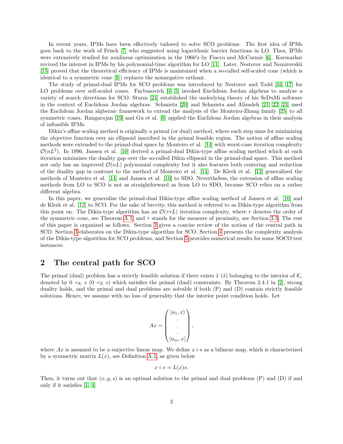In recent years, IPMs have been effectively tailored to solve SCO problems. The first idea of IPMs goes back to the work of Frisch [\[7\]](#page-12-0) who suggested using logarithmic barrier functions in LO. Then, IPMs were extensively studied for nonlinear optimization in the 1960's by Fiacco and McCormic [\[6\]](#page-12-1). Karmarkar revived the interest in IPMs by his polynomial-time algorithm for LO [\[11\]](#page-12-2). Later, Nesterov and Nemirovskii [\[15\]](#page-12-3) proved that the theoretical efficiency of IPMs is maintained when a so-called self-scaled cone (which is identical to a symmetric cone [\[9\]](#page-12-4)) replaces the nonnegative orthant.

The study of primal-dual IPMs for SCO problems was introduced by Nesterov and Todd [\[16,](#page-12-5) [17\]](#page-12-6) for LO problems over self-scaled cones. Faybusovich [\[4,](#page-12-7) [5\]](#page-12-8) invoked Euclidean Jordan algebras to analyze a variety of search directions for SCO. Sturm [\[24\]](#page-13-2) established the underlying theory of his SeDuMi software in the context of Euclidean Jordan algebras. Schmieta [\[20\]](#page-12-9) and Schmieta and Alizadeh [\[21,](#page-12-10) [22,](#page-12-11) [23\]](#page-13-1) used the Euclidean Jordan algberaic framework to extend the analysis of the Monteiro-Zhang family [\[25\]](#page-13-3) to all symmetric cones. Rangarajan [\[19\]](#page-12-12) and Gu et al. [\[8\]](#page-12-13) applied the Euclidean Jordan algebras in their analysis of infeasible IPMs.

Dikin's affine scaling method is originally a primal (or dual) method, where each step aims for minimizing the objective function over an ellipsoid inscribed in the primal feasible region. The notion of affine scaling methods were extended to the primal-dual space by Monteiro et al. [\[14\]](#page-12-14) with worst-case iteration complexity  $\mathcal{O}(nL^2)$ . In 1996, Jansen et al. [\[10\]](#page-12-15) derived a primal-dual Dikin-type affine scaling method which at each iteration minimizes the duality gap over the so-called Dikin ellipsoid in the primal-dual space. This method not only has an improved  $\mathcal{O}(nL)$  polynomial complexity but it also features both centering and reduction of the duality gap in contrast to the method of Monteiro et al. [\[14\]](#page-12-14). De Klerk et al. [\[12\]](#page-12-16) generalized the methods of Monteiro et al. [\[14\]](#page-12-14) and Jansen et al. [\[10\]](#page-12-15) to SDO. Nevertheless, the extension of affine scaling methods from LO to SCO is not as straightforward as from LO to SDO, because SCO relies on a rather different algebra.

In this paper, we generalize the primal-dual Dikin-type affine scaling method of Jansen et al. [\[10\]](#page-12-15) and de Klerk et al. [\[12\]](#page-12-16) to SCO. For the sake of brevity, this method is referred to as Dikin-type algorithm from this point on. The Dikin-type algorithm has an  $\mathcal{O}(\tau rL)$  iteration complexity, where r denotes the order of the symmetric cone, see Theorem [A.1,](#page-14-0) and  $\tau$  stands for the measure of proximity, see Section [3.3.](#page-5-0) The rest of this paper is organized as follows. Section [2](#page-2-0) gives a concise review of the notion of the central path in SCO. Section [3](#page-4-0) elaborates on the Dikin-type algorithm for SCO. Section [4](#page-6-0) presents the complexity analysis of the Dikin-type algorithm for SCO problems, and Section [5](#page-9-0) provides numerical results for some SOCO test instances.

## <span id="page-2-0"></span>2 The central path for SCO

The primal (dual) problem has a strictly feasible solution if there exists  $\tilde{x}(\tilde{s})$  belonging to the interior of K. denoted by  $0 \prec_{\mathcal{K}} x$  ( $0 \prec_{\mathcal{K}} s$ ) which satisfies the primal (dual) constraints. By Theorem 2.4.1 in [\[2\]](#page-11-0), strong duality holds, and the primal and dual problems are solvable if both (P) and (D) contain strictly feasible solutions. Hence, we assume with no loss of generality that the interior point condition holds. Let

<span id="page-2-1"></span>
$$
Ax = \begin{pmatrix} \langle a_1, x \rangle \\ \vdots \\ \langle a_m, x \rangle \end{pmatrix},
$$

where Ax is assumed to be a surjective linear map. We define  $x \circ s$  as a bilinear map, which is characterized by a symmetric matrix  $L(x)$ , see Definition [A.1,](#page-13-0) as given below

$$
x \circ s = L(x)s.
$$

Then, it turns out that  $(x, y, s)$  is an optimal solution to the primal and dual problems (P) and (D) if and only if it satisfies [\[1,](#page-11-1) [4\]](#page-12-7)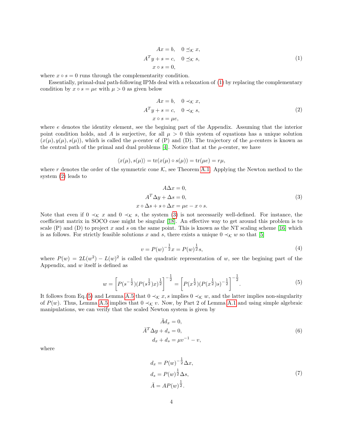$$
Ax = b, \quad 0 \leq x, ATy + s = c, \quad 0 \leq x, x \circ s = 0,
$$
 (1)

where  $x \circ s = 0$  runs through the complementarity condition.

Essentially, primal-dual path-following IPMs deal with a relaxation of [\(1\)](#page-2-1) by replacing the complementary condition by  $x \circ s = \mu e$  with  $\mu > 0$  as given below

<span id="page-3-0"></span>
$$
Ax = b, \quad 0 \prec_{\mathcal{K}} x,
$$
  

$$
A^T y + s = c, \quad 0 \prec_{\mathcal{K}} s,
$$
  

$$
x \circ s = \mu e,
$$
 (2)

where e denotes the identity element, see the begining part of the Appendix. Assuming that the interior point condition holds, and A is surjective, for all  $\mu > 0$  this system of equations has a unique solution  $(x(\mu), y(\mu), s(\mu))$ , which is called the  $\mu$ -center of (P) and (D). The trajectory of the  $\mu$ -centers is known as the central path of the primal and dual problems  $[4]$ . Notice that at the  $\mu$ -center, we have

<span id="page-3-1"></span>
$$
\langle x(\mu), s(\mu) \rangle = \text{tr}(x(\mu) \circ s(\mu)) = \text{tr}(\mu e) = r\mu,
$$

where r denotes the order of the symmetric cone  $\mathcal{K}$ , see Theorem [A.1.](#page-14-0) Applying the Newton method to the system [\(2\)](#page-3-0) leads to

$$
A\Delta x = 0,
$$
  
\n
$$
A^T \Delta y + \Delta s = 0,
$$
  
\n
$$
x \circ \Delta s + s \circ \Delta x = \mu e - x \circ s.
$$
\n(3)

Note that even if  $0 \prec_{\mathcal{K}} x$  and  $0 \prec_{\mathcal{K}} s$ , the system [\(3\)](#page-3-1) is not necessarily well-defined. For instance, the coefficient matrix in SOCO case might be singular [\[18\]](#page-12-17). An effective way to get around this problem is to scale  $(P)$  and  $(D)$  to project x and s on the same point. This is known as the NT scaling scheme [\[16\]](#page-12-5) which is as follows. For strictly feasible solutions x and s, there exists a unique  $0 \prec_{\mathcal{K}} w$  so that [\[5\]](#page-12-8)

<span id="page-3-5"></span>
$$
v = P(w)^{-\frac{1}{2}}x = P(w)^{\frac{1}{2}}s,
$$
\n(4)

where  $P(w) = 2L(w^2) - L(w)^2$  is called the quadratic representation of w, see the begining part of the Appendix, and  $w$  itself is defined as

<span id="page-3-2"></span>
$$
w = \left[ P(s^{-\frac{1}{2}}) (P(s^{\frac{1}{2}}) x)^{\frac{1}{2}} \right]^{-\frac{1}{2}} = \left[ P(x^{\frac{1}{2}}) (P(x^{\frac{1}{2}}) s)^{-\frac{1}{2}} \right]^{-\frac{1}{2}}.
$$
\n
$$
(5)
$$

It follows from Eq.[\(5\)](#page-3-2) and Lemma [A.5](#page-15-0) that  $0 \prec_{\mathcal{K}} x, s$  implies  $0 \prec_{\mathcal{K}} w$ , and the latter implies non-singularity of  $P(w)$ . Thus, Lemma [A.5](#page-15-0) implies that  $0 \prec_{\mathcal{K}} v$ . Now, by Part 2 of Lemma [A.1](#page-6-1) and using simple algebraic manipulations, we can verify that the scaled Newton system is given by

<span id="page-3-3"></span>
$$
\bar{A}d_x = 0,
$$
  
\n
$$
\bar{A}^T \Delta y + d_s = 0,
$$
  
\n
$$
d_x + d_s = \mu v^{-1} - v,
$$
\n(6)

where

<span id="page-3-4"></span>
$$
d_x = P(w)^{-\frac{1}{2}} \Delta x,
$$
  
\n
$$
d_s = P(w)^{\frac{1}{2}} \Delta s,
$$
  
\n
$$
\bar{A} = AP(w)^{\frac{1}{2}}.
$$
\n(7)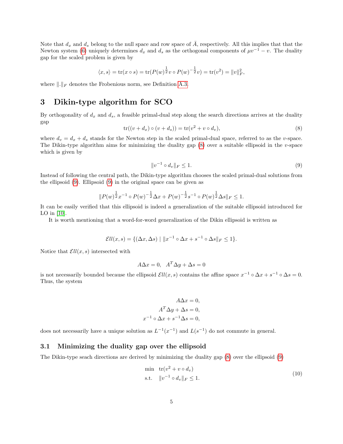Note that  $d_x$  and  $d_s$  belong to the null space and row space of  $\overline{A}$ , respectively. All this implies that that the Newton system [\(6\)](#page-3-3) uniquely determines  $d_x$  and  $d_s$  as the orthogonal components of  $\mu v^{-1} - v$ . The duality gap for the scaled problem is given by

$$
\langle x, s \rangle = \text{tr}(x \circ s) = \text{tr}(P(w)^{\frac{1}{2}}v \circ P(w)^{-\frac{1}{2}}v) = \text{tr}(v^2) = ||v||_F^2,
$$

where  $\|.\|_F$  denotes the Frobenious norm, see Definition [A.3.](#page-15-1)

## <span id="page-4-0"></span>3 Dikin-type algorithm for SCO

By orthogonality of  $d_x$  and  $d_s$ , a feasible primal-dual step along the search directions arrives at the duality gap

<span id="page-4-1"></span>
$$
tr((v+d_x)\circ(v+d_s)) = tr(v^2 + v \circ d_v),
$$
\n
$$
(8)
$$

where  $d_v = d_x + d_s$  stands for the Newton step in the scaled primal-dual space, referred to as the v-space. The Dikin-type algorithm aims for minimizing the duality gap [\(8\)](#page-4-1) over a suitable ellipsoid in the v-space which is given by

<span id="page-4-2"></span>
$$
||v^{-1} \circ d_v||_F \le 1. \tag{9}
$$

Instead of following the central path, the Dikin-type algorithm chooses the scaled primal-dual solutions from the ellipsoid [\(9\)](#page-4-2). Ellipsoid [\(9\)](#page-4-2) in the original space can be given as

<span id="page-4-3"></span>
$$
||P(w)^{\frac{1}{2}}x^{-1}\circ P(w)^{-\frac{1}{2}}\Delta x + P(w)^{-\frac{1}{2}}s^{-1}\circ P(w)^{\frac{1}{2}}\Delta s||_F\leq 1.
$$

It can be easily verified that this ellipsoid is indeed a generalization of the suitable ellipsoid introduced for LO in  $[10]$ .

It is worth mentioning that a word-for-word generalization of the Dikin ellipsoid is written as

$$
\mathcal{E}ll(x,s) = \{ (\Delta x, \Delta s) \mid ||x^{-1} \circ \Delta x + s^{-1} \circ \Delta s||_F \le 1 \}.
$$

Notice that  $Ell(x, s)$  intersected with

$$
A\Delta x = 0, \quad A^T \Delta y + \Delta s = 0
$$

is not necessarily bounded because the ellipsoid  $\mathcal{E}ll(x, s)$  contains the affine space  $x^{-1} \circ \Delta x + s^{-1} \circ \Delta s = 0$ . Thus, the system

$$
A\Delta x = 0,
$$
  
\n
$$
A^T \Delta y + \Delta s = 0,
$$
  
\n
$$
x^{-1} \circ \Delta x + s^{-1} \Delta s = 0,
$$

does not necessarily have a unique solution as  $L^{-1}(x^{-1})$  and  $L(s^{-1})$  do not commute in general.

#### 3.1 Minimizing the duality gap over the ellipsoid

The Dikin-type seach directions are derived by minimizing the duality gap [\(8\)](#page-4-1) over the ellipsoid [\(9\)](#page-4-2)

$$
\begin{aligned}\n\min \quad & \text{tr}(v^2 + v \circ d_v) \\
\text{s.t.} \quad & \|v^{-1} \circ d_v\|_F \le 1.\n\end{aligned} \tag{10}
$$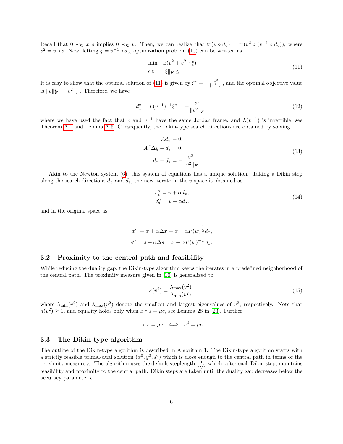Recall that  $0 \prec_{\mathcal{K}} x, s$  implies  $0 \prec_{\mathcal{K}} v$ . Then, we can realize that  $tr(v \circ d_v) = tr(v^2 \circ (v^{-1} \circ d_v))$ , where  $v^2 = v \circ v$ . Now, letting  $\xi = v^{-1} \circ d_v$ , optimization problem [\(10\)](#page-4-3) can be written as

<span id="page-5-1"></span>
$$
\begin{aligned}\n\min \quad & \text{tr}(v^2 + v^2 \circ \xi) \\
\text{s.t.} \quad & \|\xi\|_F \le 1.\n\end{aligned} \tag{11}
$$

It is easy to show that the optimal solution of [\(11\)](#page-5-1) is given by  $\xi^* = -\frac{v^2}{\ln^2 2}$  $\frac{v^2}{\|v^2\|_F}$ , and the optimal objective value is  $||v||_F^2 - ||v^2||_F$ . Therefore, we have

$$
d_v^* = L(v^{-1})^{-1} \xi^* = -\frac{v^3}{\|v^2\|_F},\tag{12}
$$

where we have used the fact that v and  $v^{-1}$  have the same Jordan frame, and  $L(v^{-1})$  is invertible, see Theorem [A.1](#page-14-0) and Lemma [A.5.](#page-15-0) Consequently, the Dikin-type search directions are obtained by solving

<span id="page-5-2"></span>
$$
\bar{A}d_x = 0,
$$
  
\n
$$
\bar{A}^T \Delta y + d_s = 0,
$$
  
\n
$$
d_x + d_s = -\frac{v^3}{\|v^2\|_F}.
$$
\n(13)

Akin to the Newton system [\(6\)](#page-3-3), this system of equations has a unique solution. Taking a Dikin step along the search directions  $d_x$  and  $d_s$ , the new iterate in the v-space is obtained as

<span id="page-5-3"></span>
$$
v_x^{\alpha} = v + \alpha d_x, v_s^{\alpha} = v + \alpha d_s,
$$
\n(14)

and in the original space as

$$
x^{\alpha} = x + \alpha \Delta x = x + \alpha P(w)^{\frac{1}{2}} d_x,
$$
  

$$
s^{\alpha} = s + \alpha \Delta s = x + \alpha P(w)^{-\frac{1}{2}} d_s.
$$

#### 3.2 Proximity to the central path and feasibility

While reducing the duality gap, the Dikin-type algorithm keeps the iterates in a predefined neighborhood of the central path. The proximity measure given in [\[10\]](#page-12-15) is generalized to

<span id="page-5-4"></span>
$$
\kappa(v^2) = \frac{\lambda_{\text{max}}(v^2)}{\lambda_{\text{min}}(v^2)},\tag{15}
$$

where  $\lambda_{\min}(v^2)$  and  $\lambda_{\max}(v^2)$  denote the smallest and largest eigenvalues of  $v^2$ , respectively. Note that  $\kappa(v^2) \geq 1$ , and equality holds only when  $x \circ s = \mu e$ , see Lemma 28 in [\[23\]](#page-13-1). Further

$$
x \circ s = \mu e \iff v^2 = \mu e.
$$

#### <span id="page-5-0"></span>3.3 The Dikin-type algorithm

The outline of the Dikin-type algorithm is described in Algorithm 1. The Dikin-type algorithm starts with a strictly feasible primal-dual solution  $(x^0, y^0, s^0)$  which is close enough to the central path in terms of the proximity measure  $\kappa$ . The algorithm uses the default steplength  $\frac{1}{\tau\sqrt{r}}$  which, after each Dikin step, maintains feasibility and proximity to the central path. Dikin steps are taken until the duality gap decreases below the accuracy parameter  $\epsilon$ .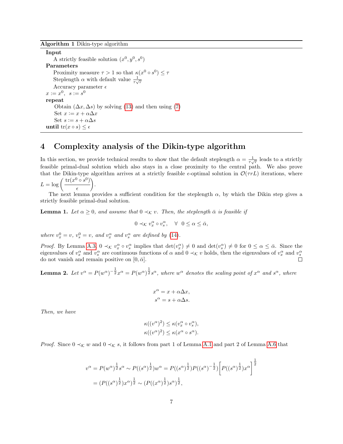#### Algorithm 1 Dikin-type algorithm

Input A strictly feasible solution  $(x^0, y^0, s^0)$ Parameters Proximity measure  $\tau > 1$  so that  $\kappa(x^0 \circ s^0) \leq \tau$ Steplength  $\alpha$  with default value  $\frac{1}{\tau\sqrt{r}}$ Accuracy parameter  $\epsilon$  $x \coloneqq x^0, \ \ s \coloneqq s^0$ repeat Obtain  $(\Delta x, \Delta s)$  by solving [\(13\)](#page-5-2) and then using [\(7\)](#page-3-4) Set  $x := x + \alpha \Delta x$ Set  $s := s + \alpha \Delta s$ until  $tr(x \circ s) \leq \epsilon$ 

## <span id="page-6-0"></span>4 Complexity analysis of the Dikin-type algorithm

In this section, we provide technical results to show that the default steplength  $\alpha = \frac{1}{\tau\sqrt{r}}$  leads to a strictly feasible primal-dual solution which also stays in a close proximity to the central path. We also prove that the Dikin-type algorithm arrives at a strictly feasible  $\epsilon$ -optimal solution in  $\mathcal{O}(\tau rL)$  iterations, where  $\mathrm{tr}(x^0\circ s$  $^0$ )

$$
L = \log\left(\frac{\text{tr}(x^0 \circ s^0)}{\epsilon}\right).
$$

The next lemma provides a sufficient condition for the steplength  $\alpha$ , by which the Dikin step gives a strictly feasible primal-dual solution.

<span id="page-6-1"></span>**Lemma 1.** Let  $\alpha \geq 0$ , and assume that  $0 \prec_{\mathcal{K}} v$ . Then, the steplength  $\bar{\alpha}$  is feasible if

<span id="page-6-3"></span>
$$
0 \prec_{\mathcal{K}} v_x^{\alpha} \circ v_s^{\alpha}, \quad \forall \ \ 0 \le \alpha \le \bar{\alpha},
$$

where  $v_x^0 = v$ ,  $v_s^0 = v$ , and  $v_x^{\alpha}$  and  $v_s^{\alpha}$  are defined by [\(14\)](#page-5-3).

Proof. By Lemma [A.3,](#page-7-0)  $0 \prec_{\mathcal{K}} v_x^{\alpha} \circ v_s^{\alpha}$  implies that  $\det(v_x^{\alpha}) \neq 0$  and  $\det(v_s^{\alpha}) \neq 0$  for  $0 \leq \alpha \leq \bar{\alpha}$ . Since the eigenvalues of  $v_x^{\alpha}$  and  $v_s^{\alpha}$  are continuous functions of  $\alpha$  and  $0 \prec_{\mathcal{K}} v$  holds, then the eigenvalues of  $v_x^{\alpha}$  and  $v_s^{\alpha}$ do not vanish and remain positive on  $[0, \bar{\alpha}]$ .

<span id="page-6-2"></span>**Lemma 2.** Let  $v^{\alpha} = P(w^{\alpha})^{-\frac{1}{2}}x^{\alpha} = P(w^{\alpha})^{\frac{1}{2}}s^{\alpha}$ , where  $w^{\alpha}$  denotes the scaling point of  $x^{\alpha}$  and  $s^{\alpha}$ , where

$$
x^{\alpha} = x + \alpha \Delta x,
$$
  

$$
s^{\alpha} = s + \alpha \Delta s.
$$

Then, we have

$$
\kappa((v^{\alpha})^2) \leq \kappa(v_x^{\alpha} \circ v_s^{\alpha}),
$$
  

$$
\kappa((v^{\alpha})^2) \leq \kappa(x^{\alpha} \circ s^{\alpha}).
$$

*Proof.* Since  $0 \prec_{\mathcal{K}} w$  and  $0 \prec_{\mathcal{K}} s$ , it follows from part 1 of Lemma [A.1](#page-6-1) and part 2 of Lemma [A.6](#page-15-2) that

$$
v^{\alpha} = P(w^{\alpha})^{\frac{1}{2}} s^{\alpha} \sim P((s^{\alpha})^{\frac{1}{2}}) w^{\alpha} = P((s^{\alpha})^{\frac{1}{2}}) P((s^{\alpha})^{-\frac{1}{2}}) \left[ P((s^{\alpha})^{\frac{1}{2}}) x^{\alpha} \right]^{\frac{1}{2}}
$$
  
= 
$$
(P((s^{\alpha})^{\frac{1}{2}}) x^{\alpha})^{\frac{1}{2}} \sim (P((x^{\alpha})^{\frac{1}{2}}) s^{\alpha})^{\frac{1}{2}},
$$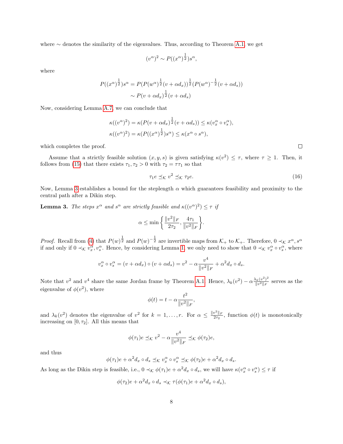where ∼ denotes the similarity of the eigenvalues. Thus, according to Theorem [A.1,](#page-14-0) we get

$$
(v^{\alpha})^2 \sim P((x^{\alpha})^{\frac{1}{2}})s^{\alpha},
$$

where

$$
P((x^{\alpha})^{\frac{1}{2}})s^{\alpha} = P(P(w^{\alpha})^{\frac{1}{2}}(v + \alpha d_x))^{\frac{1}{2}}(P(w^{\alpha})^{-\frac{1}{2}}(v + \alpha d_s))
$$

$$
\sim P(v + \alpha d_x)^{\frac{1}{2}}(v + \alpha d_s)
$$

Now, considering Lemma [A.7,](#page-15-3) we can conclude that

$$
\begin{aligned} \kappa((v^{\alpha})^2) &= \kappa(P(v + \alpha d_x)^{\frac{1}{2}}(v + \alpha d_s)) \leq \kappa(v_x^{\alpha} \circ v_s^{\alpha}), \\ \kappa((v^{\alpha})^2) &= \kappa(P((x^{\alpha})^{\frac{1}{2}})s^{\alpha}) \leq \kappa(x^{\alpha} \circ s^{\alpha}), \end{aligned}
$$

which completes the proof.

Assume that a strictly feasible solution  $(x, y, s)$  is given satisfying  $\kappa(v^2) \leq \tau$ , where  $\tau \geq 1$ . Then, it follows from [\(15\)](#page-5-4) that there exists  $\tau_1, \tau_2 > 0$  with  $\tau_2 = \tau \tau_1$  so that

$$
\tau_1 e \preceq_{\mathcal{K}} v^2 \preceq_{\mathcal{K}} \tau_2 e. \tag{16}
$$

.

Now, Lemma [3](#page-7-0) establishes a bound for the steplength  $\alpha$  which guarantees feasibility and proximity to the central path after a Dikin step.

<span id="page-7-0"></span>**Lemma 3.** The steps  $x^{\alpha}$  and  $s^{\alpha}$  are strictly feasible and  $\kappa((v^{\alpha})^2) \leq \tau$  if

<span id="page-7-1"></span>
$$
\alpha \le \min \left\{ \frac{\|v^2\|_F}{2\tau_2}, \frac{4\tau_1}{\|v^2\|_F} \right\}
$$

*Proof.* Recall from [\(4\)](#page-3-5) that  $P(w)^{\frac{1}{2}}$  and  $P(w)^{-\frac{1}{2}}$  are invertible maps from  $\mathcal{K}_+$  to  $\mathcal{K}_+$ . Therefore,  $0 \prec_{\mathcal{K}} x^{\alpha}, s^{\alpha}$ if and only if  $0 \prec_{\mathcal{K}} v_x^{\alpha}, v_s^{\alpha}$ . Hence, by considering Lemma [1,](#page-6-1) we only need to show that  $0 \prec_{\mathcal{K}} v_x^{\alpha} \circ v_s^{\alpha}$ , where

$$
v_x^{\alpha} \circ v_s^{\alpha} = (v + \alpha d_x) \circ (v + \alpha d_s) = v^2 - \alpha \frac{v^4}{\|v^2\|_F} + \alpha^2 d_x \circ d_s.
$$

Note that  $v^2$  and  $v^4$  share the same Jordan frame by Theorem [A.1.](#page-14-0) Hence,  $\lambda_k(v^2) - \alpha \frac{\lambda_k(v^2)^2}{\|v\|^2\|v\|^2}$  $\frac{\lambda_k(v^-)}{\|v^2\|_F}$  serves as the eigenvalue of  $\phi(v^2)$ , where

$$
\phi(t) = t - \alpha \frac{t^2}{\|v^2\|_F},
$$

and  $\lambda_k(v^2)$  denotes the eigenvalue of  $v^2$  for  $k=1,\ldots,r$ . For  $\alpha \leq \frac{\|v^2\|_F}{2\tau_2}$  $\frac{v^2 + r}{2\tau_2}$ , function  $\phi(t)$  is monotonically increasing on  $[0, \tau_2]$ . All this means that

$$
\phi(\tau_1)e \preceq_{\mathcal{K}} v^2 - \alpha \frac{v^4}{\|v^2\|_F} \preceq_{\mathcal{K}} \phi(\tau_2)e,
$$

and thus

$$
\phi(\tau_1)e + \alpha^2 d_x \circ d_s \preceq_{\mathcal{K}} v_x^{\alpha} \circ v_s^{\alpha} \preceq_{\mathcal{K}} \phi(\tau_2)e + \alpha^2 d_x \circ d_s.
$$

As long as the Dikin step is feasible, i.e.,  $0 \prec_{\mathcal{K}} \phi(\tau_1)e + \alpha^2 d_x \circ d_s$ , we will have  $\kappa(v_x^{\alpha} \circ v_s^{\alpha}) \leq \tau$  if

$$
\phi(\tau_2)e + \alpha^2 d_x \circ d_s \prec_{\mathcal{K}} \tau(\phi(\tau_1)e + \alpha^2 d_x \circ d_s),
$$

 $\Box$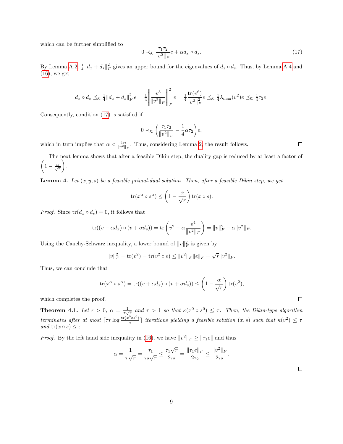which can be further simplified to

$$
0 \prec_{\mathcal{K}} \frac{\tau_1 \tau_2}{\|v^2\|_F} e + \alpha d_x \circ d_s. \tag{17}
$$

By Lemma [A.2,](#page-6-2)  $\frac{1}{4}||d_x + d_s||_F^2$  gives an upper bound for the eigenvalues of  $d_x \circ d_s$ . Thus, by Lemma [A.4](#page-8-0) and  $(16)$ , we get

$$
d_x \circ d_s \preceq_{\mathcal{K}} \frac{1}{4} || d_x + d_s ||_F^2 e = \frac{1}{4} \left| \left| \frac{v^3}{||v^2||_F} \right| \right|_F^2 e = \frac{1}{4} \frac{\text{tr}(v^6)}{||v^2||_F^2} e \preceq_{\mathcal{K}} \frac{1}{4} \lambda_{\text{max}}(v^2) e \preceq_{\mathcal{K}} \frac{1}{4} \tau_2 e.
$$

Consequently, condition [\(17\)](#page-7-1) is satisfied if

$$
0 \prec_{\mathcal{K}} \left( \frac{\tau_1 \tau_2}{\|v^2\|_F} - \frac{1}{4} \alpha \tau_2 \right) e,
$$

which in turn implies that  $\alpha < \frac{4\tau_1}{\|v^2\|_F}$ . Thus, considering Lemma [2,](#page-6-2) the result follows.

 $\left(1-\frac{\alpha}{\sqrt{r}}\right)$ The next lemma shows that after a feasible Dikin step, the duality gap is reduced by at least a factor of .

<span id="page-8-0"></span>**Lemma 4.** Let  $(x, y, s)$  be a feasible primal-dual solution. Then, after a feasible Dikin step, we get

$$
\operatorname{tr}(x^{\alpha} \circ s^{\alpha}) \le \left(1 - \frac{\alpha}{\sqrt{r}}\right) \operatorname{tr}(x \circ s).
$$

*Proof.* Since  $tr(d_x \circ d_s) = 0$ , it follows that

$$
\text{tr}((v + \alpha d_x) \circ (v + \alpha d_s)) = \text{tr}\left(v^2 - \alpha \frac{v^4}{\|v^2\|_F}\right) = \|v\|_F^2 - \alpha \|v^2\|_F.
$$

Using the Cauchy-Schwarz inequality, a lower bound of  $||v||_F^2$  is given by

$$
||v||_F^2 = \text{tr}(v^2) = \text{tr}(v^2 \circ e) \le ||v^2||_F ||e||_F = \sqrt{r} ||v^2||_F.
$$

Thus, we can conclude that

$$
\operatorname{tr}(x^{\alpha} \circ s^{\alpha}) = \operatorname{tr}((v + \alpha d_x) \circ (v + \alpha d_s)) \le \left(1 - \frac{\alpha}{\sqrt{r}}\right) \operatorname{tr}(v^2),
$$

which completes the proof.

**Theorem 4.1.** Let  $\epsilon > 0$ ,  $\alpha = \frac{1}{\tau\sqrt{r}}$  and  $\tau > 1$  so that  $\kappa(x^0 \circ s^0) \leq \tau$ . Then, the Dikin-type algorithm terminates after at most  $\lceil \tau r \log \frac{tr(x^0 \circ s^0)}{r} \rceil$  $\frac{\cos^0 s}{\epsilon}$ ] iterations yielding a feasible solution  $(x, s)$  such that  $\kappa(v^2) \leq \tau$ and  $tr(x \circ s) \leq \epsilon$ .

*Proof.* By the left hand side inequality in [\(16\)](#page-6-3), we have  $||v^2||_F \ge ||\tau_1 e||$  and thus

$$
\alpha = \frac{1}{\tau \sqrt{r}} = \frac{\tau_1}{\tau_2 \sqrt{r}} \le \frac{\tau_1 \sqrt{r}}{2\tau_2} = \frac{\|\tau_1 e\|_F}{2\tau_2} \le \frac{\|v^2\|_F}{2\tau_2}.
$$

 $\Box$ 

 $\Box$ 

 $\Box$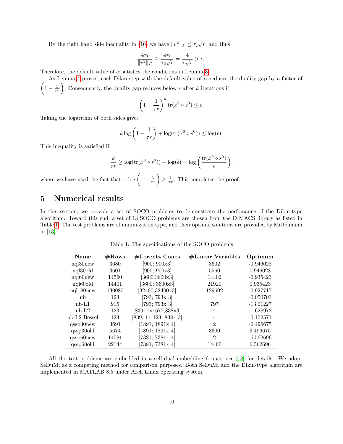By the right hand side inequality in [\(16\)](#page-6-3) we have  $||v^2||_F \le \tau_2\sqrt{r}$ , and thus

$$
\frac{4\tau_1}{\|v^2\|_F}\geq \frac{4\tau_1}{\tau_2\sqrt{r}}=\frac{4}{\tau\sqrt{r}}>\alpha.
$$

Therefore, the default value of  $\alpha$  satisfies the conditions in Lemma [3.](#page-7-0)

 $\left(1-\frac{1}{\tau r}\right)$ . Consequently, the duality gap reduces below  $\epsilon$  after k iterations if As Lemma [4](#page-8-0) proves, each Dikin step with the default value of  $\alpha$  reduces the duality gap by a factor of

$$
\left(1 - \frac{1}{\tau r}\right)^k \operatorname{tr}(x^0 \circ s^0) \le \epsilon.
$$

Taking the logarithm of both sides gives

$$
k \log \left( 1 - \frac{1}{\tau r} \right) + \log(\text{tr}(x^0 \circ s^0)) \le \log(\epsilon).
$$

This inequality is satisfied if

$$
\frac{k}{\tau r} \ge \log(\text{tr}(x^0 \circ s^0)) - \log(\epsilon) = \log\left(\frac{\text{tr}(x^0 \circ s^0)}{\epsilon}\right),
$$

where we have used the fact that  $-\log\left(1-\frac{1}{\tau r}\right) \geq \frac{1}{\tau r}$ . This completes the proof.

## <span id="page-9-0"></span>5 Numerical results

In this section, we provide a set of SOCO problems to demonstrate the perfomance of the Dikin-type algorithm. Toward this end, a set of 13 SOCO problems are chosen from the DIMACS library as listed in Table [1.](#page-9-1) The test problems are of minimization type, and their optimal solutions are provided by Mittelmann in [\[13\]](#page-12-18).

<span id="page-9-1"></span>

| <b>Name</b>           | $\#\mathrm{Rows}$ | $#Lorentz$ Cones      | $\#\text{Linear Variables}$ | Optimum     |
|-----------------------|-------------------|-----------------------|-----------------------------|-------------|
| $nq130$ new           | 3680              | [900; 900x3]          | 3602                        | $-0.946028$ |
| nql30old              | 3601              | [900; 900x3]          | 5560                        | 0.946028    |
| ngl <sub>60</sub> new | 14560             | [3600;3600x3]         | 14402                       | $-0.935423$ |
| nql60old              | 14401             | [3600; 3600x3]        | 21920                       | 0.935423    |
| $nq1180$ new          | 130080            | [32400;32400x3]       | 129602                      | $-0.927717$ |
| nb                    | 123               | [793; 793x 3]         | 4                           | $-0.050703$ |
| $nb-L1$               | 915               | [793; 793x 3]         | 797                         | $-13.01227$ |
| $nb-L2$               | 123               | [839; 1x1677, 838x3]  | 4                           | $-1.628972$ |
| $nb-L2-Bessel$        | 123               | [839; 1x 123, 838x 3] | 4                           | $-0.102571$ |
| $qssp30$ new          | 3691              | [1891; 1891x 4]       | $\mathfrak{D}$              | $-6.496675$ |
| qssp30old             | 5674              | [1891; 1891x 4]       | 3600                        | 6.496675    |
| $qssp60$ new          | 14581             | [7381; 7381x 4]       | $\overline{2}$              | $-6.562696$ |
| qssp60old             | 22144             | [7381; 7381x 4]       | 14400                       | 6.562696    |

Table 1: The specifications of the SOCO problems

All the test problems are embedded in a self-dual embedding format, see [\[18\]](#page-12-17) for details. We adopt SeDuMi as a competing method for comparison purposes. Both SeDuMi and the Dikin-type algorithm are implemented in MATLAB 8.5 under Arch Linux operating system.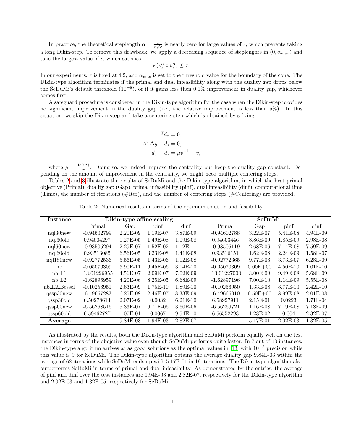In practice, the theoretical steplength  $\alpha = \frac{1}{\tau\sqrt{r}}$  is nearly zero for large values of r, which prevents taking a long Dikin-step. To remove this drawback, we apply a decreasing sequence of steplenghts in  $(0, \alpha_{\text{max}})$  and take the largest value of  $\alpha$  which satisfies

$$
\kappa(v_x^{\alpha} \circ v_s^{\alpha}) \leq \tau.
$$

In our experiments,  $\tau$  is fixed at 4.2, and  $\alpha_{\text{max}}$  is set to the threshold value for the boundary of the cone. The Dikin-type algorithm terminates if the primal and dual infeasibility along with the duality gap drops below the SeDuMi's default threshold  $(10^{-8})$ , or if it gains less then 0.1% improvement in duality gap, whichever comes first.

A safeguard procedure is considered in the Dikin-type algorithm for the case when the Dikin-step provides no significant improvement in the duality gap (i.e., the relative improvement is less than 5%). In this situation, we skip the Dikin-step and take a centering step which is obtained by solving

$$
\bar{A}d_x = 0,
$$
  

$$
\bar{A}^T \Delta y + d_s = 0,
$$
  

$$
d_x + d_s = \mu v^{-1} - v,
$$

where  $\mu = \frac{\text{tr}(v^2)}{r}$  $\frac{v}{r}$ . Doing so, we indeed improve the centrality but keep the duality gap constant. Depending on the amount of improvement in the centrality, we might need multiple centering steps.

Tables [2](#page-10-0) and [3](#page-11-2) illustrate the results of SeDuMi and the Dikin-type algorithm, in which the best primal objective (Primal), duality gap (Gap), primal infeasibility (pinf), dual infeasibility (dinf), computational time (Time), the number of iterations (#Iter), and the number of centering steps (#Centering) are provided.

Table 2: Numerical results in terms of the optimum solution and feasibility.

<span id="page-10-0"></span>

| Instance         | Dikin-type affine scaling |            |            |            |                | SeDuMi       |            |            |  |
|------------------|---------------------------|------------|------------|------------|----------------|--------------|------------|------------|--|
|                  | Primal                    | Gap        | pinf       | dinf       | Primal         | Gap          | pinf       | dinf       |  |
| $nq130$ new      | $-0.94602799$             | 2.20E-09   | 1.19E-07   | 3.87E-09   | $-0.94602788$  | $3.22E-07$   | 5.41E-08   | $4.94E-09$ |  |
| nql30old         | 0.94604297                | 1.27E-05   | 1.49E-08   | $1.09E-08$ | 0.94603446     | $3.86E-09$   | 1.85E-09   | 2.98E-08   |  |
| $nq160$ new      | $-0.93505294$             | $2.29E-07$ | 1.52E-02   | $1.12E-11$ | $-0.93505119$  | $2.68E-06$   | $7.14E-08$ | 7.59E-09   |  |
| nql60old         | 0.93513085                | $6.56E-05$ | $3.23E-08$ | $1.41E-08$ | 0.93516151     | $1.62E-08$   | $2.24E-09$ | 1.58E-07   |  |
| $nq1180$ new     | $-0.92772536$             | 5.56E-05   | $1.43E-06$ | $1.12E-08$ | $-0.92772365$  | 9.77E-06     | 3.73E-07   | $6.28E-09$ |  |
| nb               | $-0.05070309$             | 5.90E-11   | $9.45E-06$ | $3.14E-10$ | $-0.05070309$  | $0.00E + 00$ | $4.50E-10$ | $1.01E-10$ |  |
| $nb_{L1}$        | $-13.01226955$            | $4.56E-07$ | $2.09E-07$ | $7.02E-09$ | $-13.01227003$ | $3.00E-09$   | $9.49E-08$ | 5.68E-09   |  |
| $nb\_L2$         | $-1.62896959$             | $4.20E-06$ | 8.25E-05   | $6.68E-09$ | $-1.62897196$  | $7.00E-10$   | 1.14E-09   | 5.55E-08   |  |
| $nb\_L2\_Bessel$ | $-0.10256951$             | $2.63E-09$ | $1.75E-10$ | $1.89E-10$ | $-0.10256950$  | $1.33E-08$   | 8.77E-10   | $2.42E-10$ |  |
| $qssp30$ new     | $-6.49667283$             | $6.25E-08$ | $2.46E-07$ | 8.33E-09   | $-6.49666910$  | $6.50E + 00$ | 8.99E-08   | $2.01E-08$ |  |
| qssp30old        | 6.50278614                | 2.07E-02   | 0.0032     | $6.21E-10$ | 6.58927911     | $2.15E-01$   | 0.0223     | 1.71E-04   |  |
| $qssp60$ new     | $-6.56268516$             | 5.33E-07   | $9.71E-06$ | $3.60E-06$ | $-6.56269721$  | $1.16E-08$   | 7.19E-08   | 7.18E-09   |  |
| qssp60old        | 6.59462727                | 1.07E-01   | 0.0067     | $9.54E-10$ | 6.56552293     | $1.28E-02$   | 0.004      | $2.32E-07$ |  |
| Average          |                           | 9.84E-03   | $1.94E-03$ | $2.82E-07$ |                | 5.17E-01     | $2.02E-03$ | $1.32E-05$ |  |

As illustrated by the results, both the Dikin-type algorithm and SeDuMi perform equally well on the test instances in terms of the obejctive value even though SeDuMi performs quite faster. In 7 out of 13 instances, the Dikin-type algorithm arrives at as good solutions as the optimal values in [\[13\]](#page-12-18) with  $10^{-5}$  precision while this value is 9 for SeDuMi. The Dikin-type algorithm obtains the average duality gap 9.84E-03 within the average of 62 iterations while SeDuMi ends up with 5.17E-01 in 19 iterations. The Dikin-type algorithm also outperforms SeDuMi in terms of primal and dual infeasibility. As demonstrated by the entries, the average of pinf and dinf over the test instances are 1.94E-03 and 2.82E-07, respectively for the Dikin-type algorithm and 2.02E-03 and 1.32E-05, respectively for SeDuMi.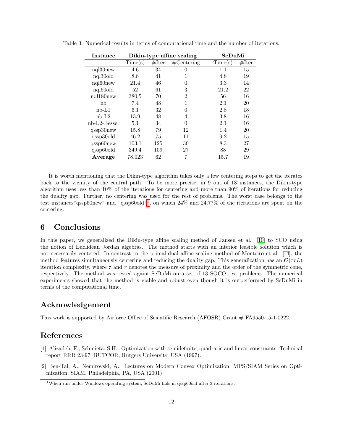| Instance       | Dikin-type affine scaling |       |                      | SeDuMi  |       |  |
|----------------|---------------------------|-------|----------------------|---------|-------|--|
|                | Time(s)                   | #Iter | $\#\text{Centering}$ | Time(s) | #Iter |  |
| $nq130$ new    | 4.6                       | 34    | $\Omega$             | 1.1     | 15    |  |
| nql30old       | 8.8                       | 41    |                      | 4.8     | 19    |  |
| nql60new       | 21.4                      | 46    | $\Omega$             | 3.3     | 14    |  |
| nql60old       | 52                        | 61    | 3                    | 21.2    | 22    |  |
| $nq1180$ new   | 380.5                     | 70    | 2                    | 56      | 16    |  |
| nb             | 7.4                       | 48    | 1                    | 2.1     | 20    |  |
| nb-L1          | 6.1                       | 32    | 0                    | 2.8     | 18    |  |
| $nb-L2$        | 13.9                      | 48    | 4                    | 3.8     | 16    |  |
| $nb-L2-Bessel$ | 5.1                       | 34    | $\Omega$             | 2.1     | 16    |  |
| qssp30new      | 15.8                      | 79    | 12                   | 1.4     | 20    |  |
| qssp30old      | 46.2                      | 75    | 11                   | 9.2     | 15    |  |
| $qssp60$ new   | 103.1                     | 125   | 30                   | 8.3     | 27    |  |
| qssp60old      | 349.4                     | 109   | 27                   | 88      | 29    |  |
| Average        | 78.023                    | 62    | 7                    | 15.7    | 19    |  |

<span id="page-11-2"></span>Table 3: Numerical results in terms of computational time and the number of iterations.

It is worth mentioning that the Dikin-type algorithm takes only a few centering steps to get the iterates back to the vicinity of the central path. To be more precise, in 9 out of 13 instances, the Dikin-type algorithm uses less than 10% of the iterations for centering and more than 90% of iterations for reducing the duality gap. Further, no centering was used for the rest of problems. The worst case belongs to the test instances "qssp60new" and "qssp60old"<sup>[1](#page-11-3)</sup>, on which 24% and 24.77% of the iterations are spent on the centering.

## 6 Conclusions

In this paper, we generalized the Dikin-type affine scaling method of Jansen et al. [\[10\]](#page-12-15) to SCO using the notion of Euclidean Jordan algebras. The method starts with an interior feasible solution which is not necessarily centered. In contrast to the primal-dual affine scaling method of Monteiro et al. [\[14\]](#page-12-14), the method features simultaneously centering and reducing the duality gap. This generalization has an  $\mathcal{O}(\tau rL)$ iteration complexity, where  $\tau$  and r denotes the measure of proximity and the order of the symmetric cone, respectively. The method was tested againt SeDuMi on a set of 13 SOCO test problems. The numerical experiments showed that the method is viable and robust even though it is outperformed by SeDuMi in terms of the computational time.

## Acknowledgement

This work is supported by Airforce Office of Scientific Research (AFOSR) Grant # FA9550-15-1-0222.

## References

- <span id="page-11-1"></span>[1] Alizadeh, F., Schmieta, S.H.: Optimization with semidefinite, quadratic and linear constraints. Technical report RRR 23-97, RUTCOR, Rutgers University, USA (1997).
- <span id="page-11-0"></span>[2] Ben-Tal, A., Nemirovski, A.: Lectures on Modern Convex Optimization. MPS/SIAM Series on Optimization, SIAM, Philadelphia, PA, USA (2001).

<span id="page-11-3"></span><sup>&</sup>lt;sup>1</sup>When run under Windows operating system, SeDuMi fails in qssp60old after 3 iterations.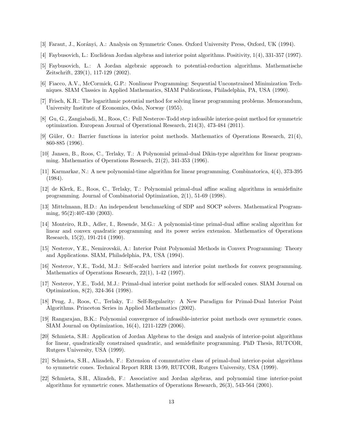- <span id="page-12-19"></span>[3] Faraut, J., Kor´anyi, A.: Analysis on Symmetric Cones. Oxford University Press, Oxford, UK (1994).
- <span id="page-12-7"></span>[4] Faybusovich, L.: Euclidean Jordan algebras and interior point algorithms. Positivity, 1(4), 331-357 (1997).
- <span id="page-12-8"></span>[5] Faybusovich, L.: A Jordan algebraic approach to potential-reduction algorithms. Mathematische Zeitschrift, 239(1), 117-129 (2002).
- <span id="page-12-1"></span>[6] Fiacco, A.V., McCormick, G.P.: Nonlinear Programming: Sequential Unconstrained Minimization Techniques. SIAM Classics in Applied Mathematics, SIAM Publications, Philadelphia, PA, USA (1990).
- <span id="page-12-0"></span>[7] Frisch, K.R.: The logarithmic potential method for solving linear programming problems. Memorandum, University Institute of Economics, Oslo, Norway (1955).
- <span id="page-12-13"></span>[8] Gu, G., Zangiabadi, M., Roos, C.: Full Nesterov-Todd step infeasible interior-point method for symmetric optimization. European Journal of Operational Research, 214(3), 473-484 (2011).
- <span id="page-12-4"></span>[9] Güler, O.: Barrier functions in interior point methods. Mathematics of Operations Research,  $21(4)$ , 860-885 (1996).
- <span id="page-12-15"></span>[10] Jansen, B., Roos, C., Terlaky, T.: A Polynomial primal-dual Dikin-type algorithm for linear programming. Mathematics of Operations Research, 21(2), 341-353 (1996).
- <span id="page-12-2"></span>[11] Karmarkar, N.: A new polynomial-time algorithm for linear programming. Combinatorica, 4(4), 373-395 (1984).
- <span id="page-12-16"></span>[12] de Klerk, E., Roos, C., Terlaky, T.: Polynomial primal-dual affine scaling algorithms in semidefinite programming. Journal of Combinatorial Optimization, 2(1), 51-69 (1998).
- <span id="page-12-18"></span>[13] Mittelmann, H.D.: An independent benchmarking of SDP and SOCP solvers. Mathematical Programming, 95(2):407-430 (2003).
- <span id="page-12-14"></span>[14] Monteiro, R.D., Adler, I., Resende, M.G.: A polynomial-time primal-dual affine scaling algorithm for linear and convex quadratic programming and its power series extension. Mathematics of Operations Research, 15(2), 191-214 (1990).
- <span id="page-12-3"></span>[15] Nesterov, Y.E., Nemirovskii, A.: Interior Point Polynomial Methods in Convex Programming: Theory and Applications. SIAM, Philadelphia, PA, USA (1994).
- <span id="page-12-5"></span>[16] Nesterov, Y.E., Todd, M.J.: Self-scaled barriers and interior point methods for convex programming. Mathematics of Operations Research, 22(1), 1-42 (1997).
- <span id="page-12-6"></span>[17] Nesterov, Y.E., Todd, M.J.: Primal-dual interior point methods for self-scaled cones. SIAM Journal on Optimization, 8(2), 324-364 (1998).
- <span id="page-12-17"></span>[18] Peng, J., Roos, C., Terlaky, T.: Self-Regularity: A New Paradigm for Primal-Dual Interior Point Algorithms. Princeton Series in Applied Mathematics (2002).
- <span id="page-12-12"></span>[19] Rangarajan, B.K.: Polynomial convergence of infeasible-interior point methods over symmetric cones. SIAM Journal on Optimization, 16(4), 1211-1229 (2006).
- <span id="page-12-9"></span>[20] Schmieta, S.H.: Application of Jordan Algebras to the design and analysis of interior-point algorithms for linear, quadratically constrained quadratic, and semidefinite programming. PhD Thesis, RUTCOR, Rutgers University, USA (1999).
- <span id="page-12-10"></span>[21] Schmieta, S.H., Alizadeh, F.: Extension of commutative class of primal-dual interior-point algorithms to symmetric cones. Technical Report RRR 13-99, RUTCOR, Rutgers University, USA (1999).
- <span id="page-12-11"></span>[22] Schmieta, S.H., Alizadeh, F.: Associative and Jordan algebras, and polynomial time interior-point algorithms for symmetric cones. Mathematics of Operations Research, 26(3), 543-564 (2001).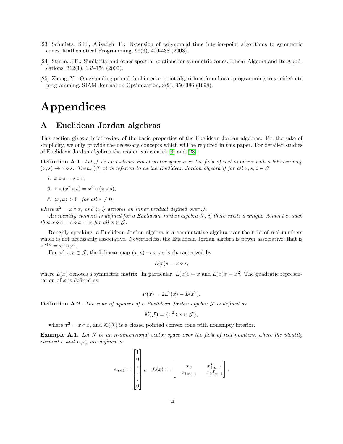- <span id="page-13-1"></span>[23] Schmieta, S.H., Alizadeh, F.: Extension of polynomial time interior-point algorithms to symmetric cones. Mathematical Programming, 96(3), 409-438 (2003).
- <span id="page-13-2"></span>[24] Sturm, J.F.: Similarity and other spectral relations for symmetric cones. Linear Algebra and Its Applications, 312(1), 135-154 (2000).
- <span id="page-13-3"></span>[25] Zhang, Y.: On extending primal-dual interior-point algorithms from linear programming to semidefinite programming. SIAM Journal on Optimization, 8(2), 356-386 (1998).

## Appendices

## A Euclidean Jordan algebras

This section gives a brief review of the basic properties of the Euclidean Jordan algebras. For the sake of simplicity, we only provide the necessary concepts which will be required in this paper. For detailed studies of Euclidean Jordan algebras the reader can consult [\[3\]](#page-12-19) and [\[23\]](#page-13-1).

<span id="page-13-0"></span>**Definition A.1.** Let  $\mathcal J$  be an n-dimensional vector space over the field of real numbers with a bilinear map  $(x, s) \to x \circ s$ . Then,  $(\mathcal{J}, \circ)$  is referred to as the Euclidean Jordan algebra if for all  $x, s, z \in \mathcal{J}$ 

$$
1. \, x \circ s = s \circ x,
$$

- 2.  $x \circ (x^2 \circ s) = x^2 \circ (x \circ s),$
- 3.  $\langle x, x \rangle > 0$  for all  $x \neq 0$ ,

where  $x^2 = x \circ x$ , and  $\langle ., . \rangle$  denotes an inner product defined over  $\mathcal{J}$ .

An identity element is defined for a Euclidean Jordan algebra  $J$ , if there exists a unique element e, such that  $x \circ e = e \circ x = x$  for all  $x \in \mathcal{J}$ .

Roughly speaking, a Euclidean Jordan algebra is a commutative algebra over the field of real numbers which is not necessarily associative. Nevertheless, the Euclidean Jordan algebra is power associative; that is  $x^{p+q} = x^p \circ x^q.$ 

For all  $x, s \in \mathcal{J}$ , the bilinear map  $(x, s) \to x \circ s$  is characterized by

$$
L(x)s = x \circ s,
$$

where  $L(x)$  denotes a symmetric matrix. In particular,  $L(x)e = x$  and  $L(x)x = x^2$ . The quadratic representation of  $x$  is defined as

$$
P(x) = 2L^2(x) - L(x^2).
$$

**Definition A.2.** The cone of squares of a Euclidean Jordan algebra  $\mathcal J$  is defined as

$$
\mathcal{K}(\mathcal{J}) = \{x^2 : x \in \mathcal{J}\},\
$$

where  $x^2 = x \circ x$ , and  $\mathcal{K}(\mathcal{J})$  is a closed pointed convex cone with nonempty interior.

**Example A.1.** Let  $\mathcal J$  be an n-dimensional vector space over the field of real numbers, where the identity element e and  $L(x)$  are defined as

$$
e_{n\times 1} = \begin{bmatrix} 1 \\ 0 \\ \vdots \\ 0 \end{bmatrix}, \quad L(x) := \begin{bmatrix} x_0 & x_{1:n-1}^T \\ x_{1:n-1} & x_0 I_{n-1} \end{bmatrix}.
$$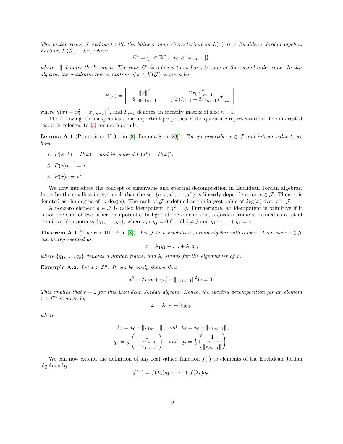The vector space  $\mathcal J$  endowed with the bilinear map characterized by  $L(x)$  is a Euclidean Jordan algebra. Further,  $\mathcal{K}(\mathcal{J}) \equiv \mathcal{L}^n$ , where

$$
\mathcal{L}^n = \{ x \in \mathbb{R}^n : x_0 \ge ||x_{1:n-1}|| \},\
$$

where ||.|| denotes the l<sup>2</sup>-norm. The cone  $\mathcal{L}^n$  is referred to as Lorentz cone or the second-order cone. In this algebra, the quadratic representation of  $x \in \mathcal{K}(\mathcal{J})$  is given by

$$
P(x) = \begin{bmatrix} ||x||^2 & 2x_0 x_{1:n-1}^T \\ 2x_0 x_{1:n-1} & \gamma(x) I_{n-1} + 2x_{1:n-1} x_{1:n-1}^T \end{bmatrix},
$$

where  $\gamma(x) = x_0^2 - ||x_{1:n-1}||^2$ , and  $I_{n-1}$  denotes an identity matrix of size  $n-1$ .

The following lemma specifies some important properties of the quadratic representation. The interested reader is referred to [\[3\]](#page-12-19) for more details.

**Lemma A.1** (Proposition II.3.1 in [\[3\]](#page-12-19), Lemma 8 in [\[23\]](#page-13-1)). For an invertible  $x \in \mathcal{J}$  and integer value t, we have

1.  $P(x^{-1}) = P(x)^{-1}$  and in general  $P(x^t) = P(x)^t$ , 2.  $P(x)x^{-1} = x$ , 3.  $P(x)e = x^2$ .

We now introduce the concept of eigenvalue and spectral decomposition in Euclidean Jordan algebras. Let r be the smallest integer such that the set  $\{e, x, x^2, \ldots, x^r\}$  is linearly dependent for  $x \in \mathcal{J}$ . Then, r is denoted as the degree of x, deg(x). The rank of  $\mathcal J$  is defined as the largest value of deg(x) over  $x \in \mathcal J$ .

A nonzero element  $q \in \mathcal{J}$  is called idempotent if  $q^2 = q$ . Furthermore, an idempotent is primitive if it is not the sum of two other idempotents. In light of these definition, a Jordan frame is defined as a set of primitive idempotents  $\{q_1, \ldots, q_r\}$ , where  $q_i \circ q_j = 0$  for all  $i \neq j$  and  $q_1 + \ldots + q_r = e$ .

<span id="page-14-0"></span>**Theorem A.1** (Theorem III.1.2 in [\[3\]](#page-12-19)). Let  $\mathcal J$  be a Euclidean Jordan algebra with rank r. Then each  $x \in \mathcal J$ can be represented as

$$
x = \lambda_1 q_1 + \ldots + \lambda_r q_r,
$$

where  $\{q_1, \ldots, q_r\}$  denotes a Jordan frame, and  $\lambda_i$  stands for the eigenvalues of x.

**Example A.2.** Let  $x \in \mathcal{L}^n$ . It can be easily shown that

$$
x^{2} - 2x_{0}x + (x_{0}^{2} - ||x_{1:n-1}||^{2})e = 0.
$$

This implies that  $r = 2$  for this Euclidean Jordan algebra. Hence, the spectral decomposition for an element  $x \in \mathcal{L}^n$  is given by

$$
x = \lambda_1 q_1 + \lambda_2 q_2,
$$

where

$$
\lambda_1 = x_0 - ||x_{1:n-1}||, \text{ and } \lambda_2 = x_0 + ||x_{1:n-1}||,
$$
  

$$
q_1 = \frac{1}{2} \left( -\frac{1}{||x_{1:n-1}||} \right), \text{ and } q_2 = \frac{1}{2} \left( \frac{1}{||x_{1:n-1}||} \right).
$$

We can now extend the definition of any real valued function  $f(.)$  to elements of the Euclidean Jordan algebras by

$$
f(x) = f(\lambda_1)q_1 + \cdots + f(\lambda_r)q_r.
$$